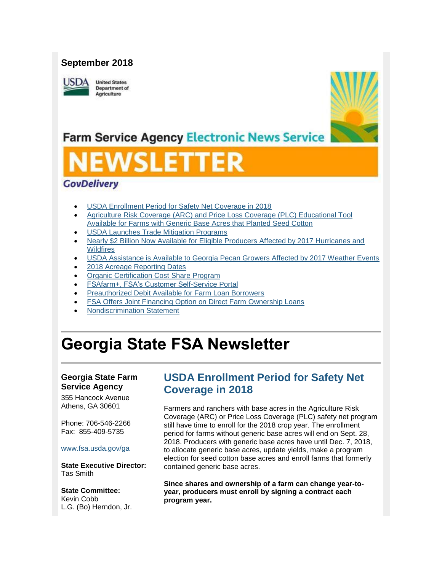## **September 2018**

**JSDA** 

**United States Department of** Agriculture



## **Farm Service Agency Electronic News Service**

# SLET

## **GovDelivery**

- [USDA Enrollment Period for Safety Net Coverage in 2018](#page-0-0)
- [Agriculture Risk Coverage \(ARC\) and Price Loss Coverage \(PLC\) Educational Tool](#page-1-0)  [Available for Farms with Generic Base Acres that Planted Seed Cotton](#page-1-0)
- [USDA Launches Trade Mitigation Programs](#page-1-1)
- [Nearly \\$2 Billion Now Available for Eligible Producers Affected by 2017 Hurricanes and](#page-2-0)  **[Wildfires](#page-2-0)**
- [USDA Assistance is Available to Georgia Pecan Growers Affected by 2017 Weather Events](#page-4-0)
- [2018 Acreage Reporting Dates](#page-5-0)
- [Organic Certification Cost](#page-5-1) Share Program
- [FSAfarm+, FSA's Customer Self-Service Portal](#page-6-0)
- [Preauthorized Debit Available for Farm Loan Borrowers](#page-6-1)
- [FSA Offers Joint Financing Option on Direct Farm Ownership Loans](#page-7-0)
- [Nondiscrimination Statement](#page-7-1)

## **Georgia State FSA Newsletter**

### **Georgia State Farm Service Agency**

355 Hancock Avenue Athens, GA 30601

Phone: 706-546-2266 Fax: 855-409-5735

#### [www.fsa.usda.gov/ga](http://www.fsa.usda.gov/ga)

**State Executive Director:** Tas Smith

**State Committee:** Kevin Cobb L.G. (Bo) Herndon, Jr.

## <span id="page-0-0"></span>**USDA Enrollment Period for Safety Net Coverage in 2018**

Farmers and ranchers with base acres in the Agriculture Risk Coverage (ARC) or Price Loss Coverage (PLC) safety net program still have time to enroll for the 2018 crop year. The enrollment period for farms without generic base acres will end on Sept. 28, 2018. Producers with generic base acres have until Dec. 7, 2018, to allocate generic base acres, update yields, make a program election for seed cotton base acres and enroll farms that formerly contained generic base acres.

**Since shares and ownership of a farm can change year-toyear, producers must enroll by signing a contract each program year.**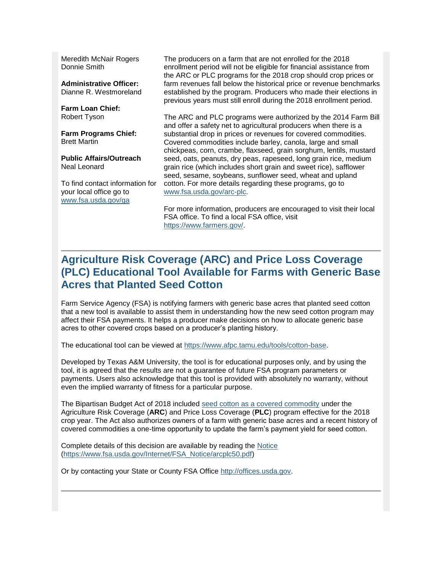Meredith McNair Rogers Donnie Smith

**Administrative Officer:** Dianne R. Westmoreland

**Farm Loan Chief:** Robert Tyson

**Farm Programs Chief:** Brett Martin

**Public Affairs/Outreach** Neal Leonard

To find contact information for your local office go to [www.fsa.usda.gov/ga](http://www.fsa.usda.gov/ga)

The producers on a farm that are not enrolled for the 2018 enrollment period will not be eligible for financial assistance from the ARC or PLC programs for the 2018 crop should crop prices or farm revenues fall below the historical price or revenue benchmarks established by the program. Producers who made their elections in previous years must still enroll during the 2018 enrollment period.

The ARC and PLC programs were authorized by the 2014 Farm Bill and offer a safety net to agricultural producers when there is a substantial drop in prices or revenues for covered commodities. Covered commodities include barley, canola, large and small chickpeas, corn, crambe, flaxseed, grain sorghum, lentils, mustard seed, oats, peanuts, dry peas, rapeseed, long grain rice, medium grain rice (which includes short grain and sweet rice), safflower seed, sesame, soybeans, sunflower seed, wheat and upland cotton. For more details regarding these programs, go to [www.fsa.usda.gov/arc-plc.](http://www.fsa.usda.gov/arc-plc)

For more information, producers are encouraged to visit their local FSA office. To find a local FSA office, visit [https://www.farmers.gov/.](https://www.farmers.gov/)

## <span id="page-1-0"></span>**Agriculture Risk Coverage (ARC) and Price Loss Coverage (PLC) Educational Tool Available for Farms with Generic Base Acres that Planted Seed Cotton**

Farm Service Agency (FSA) is notifying farmers with generic base acres that planted seed cotton that a new tool is available to assist them in understanding how the new seed cotton program may affect their FSA payments. It helps a producer make decisions on how to allocate generic base acres to other covered crops based on a producer's planting history.

The educational tool can be viewed at [https://www.afpc.tamu.edu/tools/cotton-base.](https://www.afpc.tamu.edu/tools/cotton-base)

Developed by Texas A&M University, the tool is for educational purposes only, and by using the tool, it is agreed that the results are not a guarantee of future FSA program parameters or payments. Users also acknowledge that this tool is provided with absolutely no warranty, without even the implied warranty of fitness for a particular purpose.

The Bipartisan Budget Act of 2018 included [seed cotton as a covered commodity](https://www.fsa.usda.gov/news-room/news-releases/2018/nr_nr_20180625_rel_0111) under the Agriculture Risk Coverage (**ARC**) and Price Loss Coverage (**PLC**) program effective for the 2018 crop year. The Act also authorizes owners of a farm with generic base acres and a recent history of covered commodities a one-time opportunity to update the farm's payment yield for seed cotton.

Complete details of this decision are available by reading the [Notice](https://www.fsa.usda.gov/Internet/FSA_Notice/arcplc50.pdf) [\(https://www.fsa.usda.gov/Internet/FSA\\_Notice/arcplc50.pdf\)](https://www.fsa.usda.gov/Internet/FSA_Notice/arcplc50.pdf)

<span id="page-1-1"></span>Or by contacting your State or County FSA Office [http://offices.usda.gov.](http://offices.usda.gov/)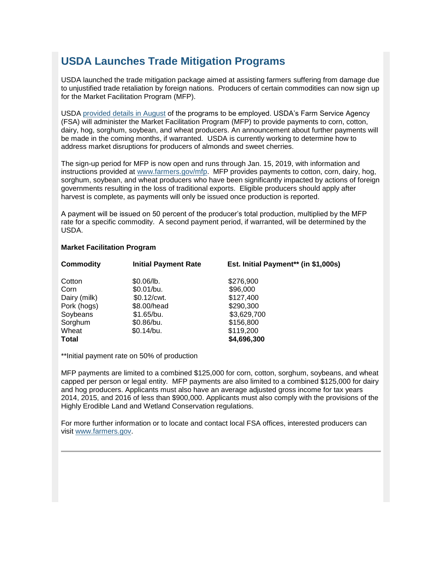## **USDA Launches Trade Mitigation Programs**

USDA launched the trade mitigation package aimed at assisting farmers suffering from damage due to unjustified trade retaliation by foreign nations. Producers of certain commodities can now sign up for the Market Facilitation Program (MFP).

USDA [provided details in August](http://links.govdelivery.com/track?type=click&enid=ZWFzPTEmbWFpbGluZ2lkPTIwMTgwOTA0Ljk0NDE3NjQxJm1lc3NhZ2VpZD1NREItUFJELUJVTC0yMDE4MDkwNC45NDQxNzY0MSZkYXRhYmFzZWlkPTEwMDEmc2VyaWFsPTE4MDA0MDA0JmVtYWlsaWQ9Y2Fzc2llLmJhYmxlQHR4LnVzZGEuZ292JnVzZXJpZD1jYXNzaWUuYmFibGVAdHgudXNkYS5nb3YmZmw9JmV4dHJhPU11bHRpdmFyaWF0ZUlkPSYmJg==&&&102&&&https://www.usda.gov/media/press-releases/2018/08/27/usda-announces-details-assistance-farmers-impacted-unjustified) of the programs to be employed. USDA's Farm Service Agency (FSA) will administer the Market Facilitation Program (MFP) to provide payments to corn, cotton, dairy, hog, sorghum, soybean, and wheat producers. An announcement about further payments will be made in the coming months, if warranted. USDA is currently working to determine how to address market disruptions for producers of almonds and sweet cherries.

The sign-up period for MFP is now open and runs through Jan. 15, 2019, with information and instructions provided at [www.farmers.gov/mfp.](http://links.govdelivery.com/track?type=click&enid=ZWFzPTEmbWFpbGluZ2lkPTIwMTgwOTA0Ljk0NDE3NjQxJm1lc3NhZ2VpZD1NREItUFJELUJVTC0yMDE4MDkwNC45NDQxNzY0MSZkYXRhYmFzZWlkPTEwMDEmc2VyaWFsPTE4MDA0MDA0JmVtYWlsaWQ9Y2Fzc2llLmJhYmxlQHR4LnVzZGEuZ292JnVzZXJpZD1jYXNzaWUuYmFibGVAdHgudXNkYS5nb3YmZmw9JmV4dHJhPU11bHRpdmFyaWF0ZUlkPSYmJg==&&&103&&&http://www.farmers.gov/mfp) MFP provides payments to cotton, corn, dairy, hog, sorghum, soybean, and wheat producers who have been significantly impacted by actions of foreign governments resulting in the loss of traditional exports. Eligible producers should apply after harvest is complete, as payments will only be issued once production is reported.

A payment will be issued on 50 percent of the producer's total production, multiplied by the MFP rate for a specific commodity. A second payment period, if warranted, will be determined by the USDA.

#### **Market Facilitation Program**

| Commodity    | <b>Initial Payment Rate</b> | Est. Initial Payment** (in \$1,000s) |
|--------------|-----------------------------|--------------------------------------|
| Cotton       | \$0.06/b.                   | \$276,900                            |
| Corn         | \$0.01/bu.                  | \$96,000                             |
| Dairy (milk) | \$0.12/cwt.                 | \$127,400                            |
| Pork (hogs)  | \$8.00/head                 | \$290,300                            |
| Soybeans     | \$1.65/bu.                  | \$3,629,700                          |
| Sorghum      | \$0.86/bu.                  | \$156,800                            |
| Wheat        | \$0.14/bu.                  | \$119,200                            |
| <b>Total</b> |                             | \$4,696,300                          |

\*\*Initial payment rate on 50% of production

MFP payments are limited to a combined \$125,000 for corn, cotton, sorghum, soybeans, and wheat capped per person or legal entity. MFP payments are also limited to a combined \$125,000 for dairy and hog producers. Applicants must also have an average adjusted gross income for tax years 2014, 2015, and 2016 of less than \$900,000. Applicants must also comply with the provisions of the Highly Erodible Land and Wetland Conservation regulations.

<span id="page-2-0"></span>For more further information or to locate and contact local FSA offices, interested producers can visit [www.farmers.gov.](http://links.govdelivery.com/track?type=click&enid=ZWFzPTEmbWFpbGluZ2lkPTIwMTgwOTA0Ljk0NDE3NjQxJm1lc3NhZ2VpZD1NREItUFJELUJVTC0yMDE4MDkwNC45NDQxNzY0MSZkYXRhYmFzZWlkPTEwMDEmc2VyaWFsPTE4MDA0MDA0JmVtYWlsaWQ9Y2Fzc2llLmJhYmxlQHR4LnVzZGEuZ292JnVzZXJpZD1jYXNzaWUuYmFibGVAdHgudXNkYS5nb3YmZmw9JmV4dHJhPU11bHRpdmFyaWF0ZUlkPSYmJg==&&&104&&&http://www.farmers.gov/)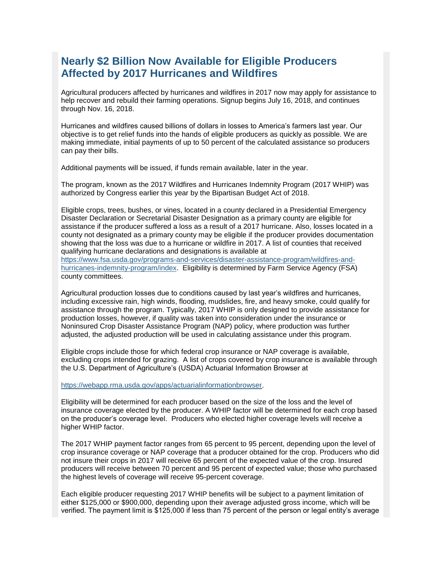## **Nearly \$2 Billion Now Available for Eligible Producers Affected by 2017 Hurricanes and Wildfires**

Agricultural producers affected by hurricanes and wildfires in 2017 now may apply for assistance to help recover and rebuild their farming operations. Signup begins July 16, 2018, and continues through Nov. 16, 2018.

Hurricanes and wildfires caused billions of dollars in losses to America's farmers last year. Our objective is to get relief funds into the hands of eligible producers as quickly as possible. We are making immediate, initial payments of up to 50 percent of the calculated assistance so producers can pay their bills.

Additional payments will be issued, if funds remain available, later in the year.

The program, known as the 2017 Wildfires and Hurricanes Indemnity Program (2017 WHIP) was authorized by Congress earlier this year by the Bipartisan Budget Act of 2018.

Eligible crops, trees, bushes, or vines, located in a county declared in a Presidential Emergency Disaster Declaration or Secretarial Disaster Designation as a primary county are eligible for assistance if the producer suffered a loss as a result of a 2017 hurricane. Also, losses located in a county not designated as a primary county may be eligible if the producer provides documentation showing that the loss was due to a hurricane or wildfire in 2017. A list of counties that received qualifying hurricane declarations and designations is available at [https://www.fsa.usda.gov/programs-and-services/disaster-assistance-program/wildfires-and](https://www.fsa.usda.gov/programs-and-services/disaster-assistance-program/wildfires-and-hurricanes-indemnity-program/index)[hurricanes-indemnity-program/index.](https://www.fsa.usda.gov/programs-and-services/disaster-assistance-program/wildfires-and-hurricanes-indemnity-program/index) Eligibility is determined by Farm Service Agency (FSA) county committees.

Agricultural production losses due to conditions caused by last year's wildfires and hurricanes, including excessive rain, high winds, flooding, mudslides, fire, and heavy smoke, could qualify for assistance through the program. Typically, 2017 WHIP is only designed to provide assistance for production losses, however, if quality was taken into consideration under the insurance or Noninsured Crop Disaster Assistance Program (NAP) policy, where production was further adjusted, the adjusted production will be used in calculating assistance under this program.

Eligible crops include those for which federal crop insurance or NAP coverage is available, excluding crops intended for grazing. A list of crops covered by crop insurance is available through the U.S. Department of Agriculture's (USDA) Actuarial Information Browser at

[https://webapp.rma.usda.gov/apps/actuarialinformationbrowser.](https://webapp.rma.usda.gov/apps/actuarialinformationbrowser)

Eligibility will be determined for each producer based on the size of the loss and the level of insurance coverage elected by the producer. A WHIP factor will be determined for each crop based on the producer's coverage level. Producers who elected higher coverage levels will receive a higher WHIP factor.

The 2017 WHIP payment factor ranges from 65 percent to 95 percent, depending upon the level of crop insurance coverage or NAP coverage that a producer obtained for the crop. Producers who did not insure their crops in 2017 will receive 65 percent of the expected value of the crop. Insured producers will receive between 70 percent and 95 percent of expected value; those who purchased the highest levels of coverage will receive 95-percent coverage.

Each eligible producer requesting 2017 WHIP benefits will be subject to a payment limitation of either \$125,000 or \$900,000, depending upon their average adjusted gross income, which will be verified. The payment limit is \$125,000 if less than 75 percent of the person or legal entity's average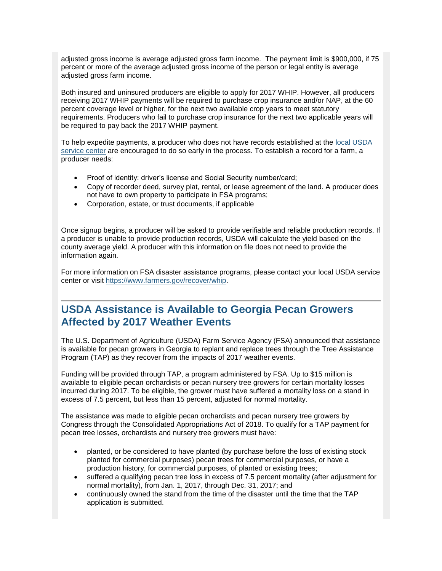adjusted gross income is average adjusted gross farm income. The payment limit is \$900,000, if 75 percent or more of the average adjusted gross income of the person or legal entity is average adjusted gross farm income.

Both insured and uninsured producers are eligible to apply for 2017 WHIP. However, all producers receiving 2017 WHIP payments will be required to purchase crop insurance and/or NAP, at the 60 percent coverage level or higher, for the next two available crop years to meet statutory requirements. Producers who fail to purchase crop insurance for the next two applicable years will be required to pay back the 2017 WHIP payment.

To help expedite payments, a producer who does not have records established at the [local USDA](https://www.farmers.gov/service-locator?field_counties_served_target_id=All)  [service center](https://www.farmers.gov/service-locator?field_counties_served_target_id=All) are encouraged to do so early in the process. To establish a record for a farm, a producer needs:

- Proof of identity: driver's license and Social Security number/card;
- Copy of recorder deed, survey plat, rental, or lease agreement of the land. A producer does not have to own property to participate in FSA programs;
- Corporation, estate, or trust documents, if applicable

Once signup begins, a producer will be asked to provide verifiable and reliable production records. If a producer is unable to provide production records, USDA will calculate the yield based on the county average yield. A producer with this information on file does not need to provide the information again.

For more information on FSA disaster assistance programs, please contact your local USDA service center or visit [https://www.farmers.gov/recover/whip.](https://www.farmers.gov/recover/whip)

## <span id="page-4-0"></span>**USDA Assistance is Available to Georgia Pecan Growers Affected by 2017 Weather Events**

The U.S. Department of Agriculture (USDA) Farm Service Agency (FSA) announced that assistance is available for pecan growers in Georgia to replant and replace trees through the Tree Assistance Program (TAP) as they recover from the impacts of 2017 weather events.

Funding will be provided through TAP, a program administered by FSA. Up to \$15 million is available to eligible pecan orchardists or pecan nursery tree growers for certain mortality losses incurred during 2017. To be eligible, the grower must have suffered a mortality loss on a stand in excess of 7.5 percent, but less than 15 percent, adjusted for normal mortality.

The assistance was made to eligible pecan orchardists and pecan nursery tree growers by Congress through the Consolidated Appropriations Act of 2018. To qualify for a TAP payment for pecan tree losses, orchardists and nursery tree growers must have:

- planted, or be considered to have planted (by purchase before the loss of existing stock planted for commercial purposes) pecan trees for commercial purposes, or have a production history, for commercial purposes, of planted or existing trees;
- suffered a qualifying pecan tree loss in excess of 7.5 percent mortality (after adjustment for normal mortality), from Jan. 1, 2017, through Dec. 31, 2017; and
- continuously owned the stand from the time of the disaster until the time that the TAP application is submitted.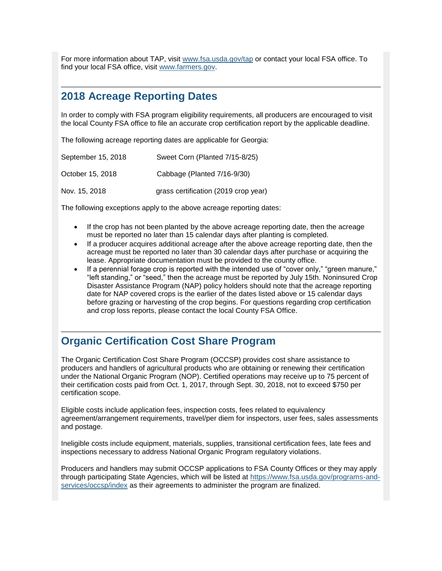For more information about TAP, visit [www.fsa.usda.gov/tap](http://www.fsa.usda.gov/tap) or contact your local FSA office. To find your local FSA office, visit [www.farmers.gov.](http://www.farmers.gov/)

## <span id="page-5-0"></span>**2018 Acreage Reporting Dates**

In order to comply with FSA program eligibility requirements, all producers are encouraged to visit the local County FSA office to file an accurate crop certification report by the applicable deadline.

The following acreage reporting dates are applicable for Georgia:

| September 15, 2018 | Sweet Corn (Planted 7/15-8/25)       |
|--------------------|--------------------------------------|
| October 15, 2018   | Cabbage (Planted 7/16-9/30)          |
| Nov. 15, 2018      | grass certification (2019 crop year) |

The following exceptions apply to the above acreage reporting dates:

- If the crop has not been planted by the above acreage reporting date, then the acreage must be reported no later than 15 calendar days after planting is completed.
- If a producer acquires additional acreage after the above acreage reporting date, then the acreage must be reported no later than 30 calendar days after purchase or acquiring the lease. Appropriate documentation must be provided to the county office.
- If a perennial forage crop is reported with the intended use of "cover only," "green manure," "left standing," or "seed," then the acreage must be reported by July 15th. Noninsured Crop Disaster Assistance Program (NAP) policy holders should note that the acreage reporting date for NAP covered crops is the earlier of the dates listed above or 15 calendar days before grazing or harvesting of the crop begins. For questions regarding crop certification and crop loss reports, please contact the local County FSA Office.

## <span id="page-5-1"></span>**Organic Certification Cost Share Program**

The Organic Certification Cost Share Program (OCCSP) provides cost share assistance to producers and handlers of agricultural products who are obtaining or renewing their certification under the National Organic Program (NOP). Certified operations may receive up to 75 percent of their certification costs paid from Oct. 1, 2017, through Sept. 30, 2018, not to exceed \$750 per certification scope.

Eligible costs include application fees, inspection costs, fees related to equivalency agreement/arrangement requirements, travel/per diem for inspectors, user fees, sales assessments and postage.

Ineligible costs include equipment, materials, supplies, transitional certification fees, late fees and inspections necessary to address National Organic Program regulatory violations.

Producers and handlers may submit OCCSP applications to FSA County Offices or they may apply through participating State Agencies, which will be listed at [https://www.fsa.usda.gov/programs-and](https://www.fsa.usda.gov/programs-and-services/occsp/index)[services/occsp/index](https://www.fsa.usda.gov/programs-and-services/occsp/index) as their agreements to administer the program are finalized.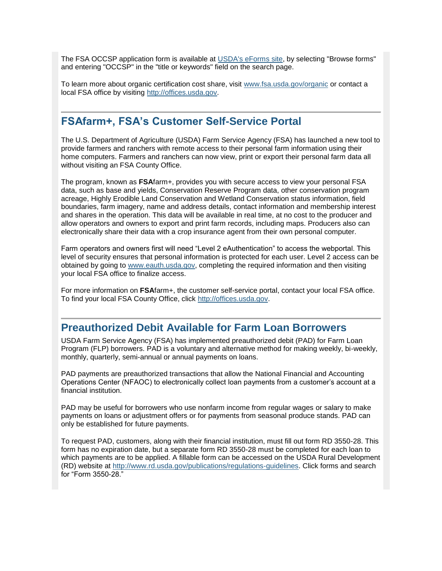The FSA OCCSP application form is available at [USDA's eForms site,](https://forms.sc.egov.usda.gov/eForms/welcomeAction.do?Home) by selecting "Browse forms" and entering "OCCSP" in the "title or keywords" field on the search page.

To learn more about organic certification cost share, visit [www.fsa.usda.gov/organic](http://www.fsa.usda.gov/organic) or contact a local FSA office by visiting [http://offices.usda.gov.](https://offices.sc.egov.usda.gov/locator/app)

## <span id="page-6-0"></span>**FSAfarm+, FSA's Customer Self-Service Portal**

The U.S. Department of Agriculture (USDA) Farm Service Agency (FSA) has launched a new tool to provide farmers and ranchers with remote access to their personal farm information using their home computers. Farmers and ranchers can now view, print or export their personal farm data all without visiting an FSA County Office.

The program, known as **FSA**farm+, provides you with secure access to view your personal FSA data, such as base and yields, Conservation Reserve Program data, other conservation program acreage, Highly Erodible Land Conservation and Wetland Conservation status information, field boundaries, farm imagery, name and address details, contact information and membership interest and shares in the operation. This data will be available in real time, at no cost to the producer and allow operators and owners to export and print farm records, including maps. Producers also can electronically share their data with a crop insurance agent from their own personal computer.

Farm operators and owners first will need "Level 2 eAuthentication" to access the webportal. This level of security ensures that personal information is protected for each user. Level 2 access can be obtained by going to [www.eauth.usda.gov,](http://www.eauth.usda.gov/) completing the required information and then visiting your local FSA office to finalize access.

For more information on **FSA**farm+, the customer self-service portal, contact your local FSA office. To find your local FSA County Office, click [http://offices.usda.gov.](http://offices.usda.gov/)

## <span id="page-6-1"></span>**Preauthorized Debit Available for Farm Loan Borrowers**

USDA Farm Service Agency (FSA) has implemented preauthorized debit (PAD) for Farm Loan Program (FLP) borrowers. PAD is a voluntary and alternative method for making weekly, bi-weekly, monthly, quarterly, semi-annual or annual payments on loans.

PAD payments are preauthorized transactions that allow the National Financial and Accounting Operations Center (NFAOC) to electronically collect loan payments from a customer's account at a financial institution.

PAD may be useful for borrowers who use nonfarm income from regular wages or salary to make payments on loans or adjustment offers or for payments from seasonal produce stands. PAD can only be established for future payments.

To request PAD, customers, along with their financial institution, must fill out form RD 3550-28. This form has no expiration date, but a separate form RD 3550-28 must be completed for each loan to which payments are to be applied. A fillable form can be accessed on the USDA Rural Development (RD) website at [http://www.rd.usda.gov/publications/regulations-guidelines.](http://www.rd.usda.gov/publications/regulations-guidelines) Click forms and search for "Form 3550-28."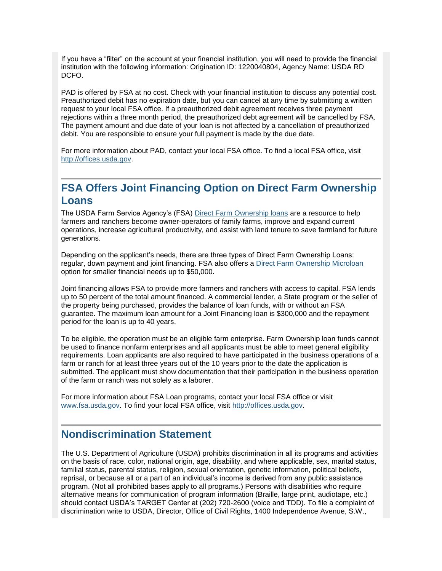If you have a "filter" on the account at your financial institution, you will need to provide the financial institution with the following information: Origination ID: 1220040804, Agency Name: USDA RD DCFO.

PAD is offered by FSA at no cost. Check with your financial institution to discuss any potential cost. Preauthorized debit has no expiration date, but you can cancel at any time by submitting a written request to your local FSA office. If a preauthorized debit agreement receives three payment rejections within a three month period, the preauthorized debt agreement will be cancelled by FSA. The payment amount and due date of your loan is not affected by a cancellation of preauthorized debit. You are responsible to ensure your full payment is made by the due date.

For more information about PAD, contact your local FSA office. To find a local FSA office, visit [http://offices.usda.gov.](http://offices.sc.egov.usda.gov/locator/app)

## <span id="page-7-0"></span>**FSA Offers Joint Financing Option on Direct Farm Ownership Loans**

The USDA Farm Service Agency's (FSA) [Direct Farm Ownership loans](https://www.fsa.usda.gov/programs-and-services/farm-loan-programs/farm-ownership-loans/index) are a resource to help farmers and ranchers become owner-operators of family farms, improve and expand current operations, increase agricultural productivity, and assist with land tenure to save farmland for future generations.

Depending on the applicant's needs, there are three types of Direct Farm Ownership Loans: regular, down payment and joint financing. FSA also offers [a Direct Farm Ownership Microloan](https://www.fsa.usda.gov/programs-and-services/farm-loan-programs/microloans/index) option for smaller financial needs up to \$50,000.

Joint financing allows FSA to provide more farmers and ranchers with access to capital. FSA lends up to 50 percent of the total amount financed. A commercial lender, a State program or the seller of the property being purchased, provides the balance of loan funds, with or without an FSA guarantee. The maximum loan amount for a Joint Financing loan is \$300,000 and the repayment period for the loan is up to 40 years.

To be eligible, the operation must be an eligible farm enterprise. Farm Ownership loan funds cannot be used to finance nonfarm enterprises and all applicants must be able to meet general eligibility requirements. Loan applicants are also required to have participated in the business operations of a farm or ranch for at least three years out of the 10 years prior to the date the application is submitted. The applicant must show documentation that their participation in the business operation of the farm or ranch was not solely as a laborer.

For more information about FSA Loan programs, contact your local FSA office or visit [www.fsa.usda.gov.](http://www.fsa.usda.gov/) To find your local FSA office, visit [http://offices.usda.gov.](http://offices.usda.gov/)

## <span id="page-7-1"></span>**Nondiscrimination Statement**

The U.S. Department of Agriculture (USDA) prohibits discrimination in all its programs and activities on the basis of race, color, national origin, age, disability, and where applicable, sex, marital status, familial status, parental status, religion, sexual orientation, genetic information, political beliefs, reprisal, or because all or a part of an individual's income is derived from any public assistance program. (Not all prohibited bases apply to all programs.) Persons with disabilities who require alternative means for communication of program information (Braille, large print, audiotape, etc.) should contact USDA's TARGET Center at (202) 720-2600 (voice and TDD). To file a complaint of discrimination write to USDA, Director, Office of Civil Rights, 1400 Independence Avenue, S.W.,